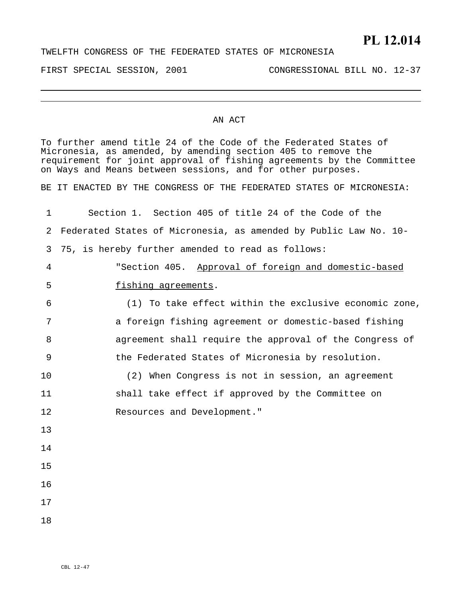## **PL 12.014**

FIRST SPECIAL SESSION, 2001 CONGRESSIONAL BILL NO. 12-37

## AN ACT

To further amend title 24 of the Code of the Federated States of Micronesia, as amended, by amending section 405 to remove the requirement for joint approval of fishing agreements by the Committee on Ways and Means between sessions, and for other purposes.

BE IT ENACTED BY THE CONGRESS OF THE FEDERATED STATES OF MICRONESIA:

| 1  | Section 1. Section 405 of title 24 of the Code of the            |
|----|------------------------------------------------------------------|
| 2  | Federated States of Micronesia, as amended by Public Law No. 10- |
| 3  | 75, is hereby further amended to read as follows:                |
| 4  | "Section 405. Approval of foreign and domestic-based             |
| 5  | fishing agreements.                                              |
| 6  | (1) To take effect within the exclusive economic zone,           |
| 7  | a foreign fishing agreement or domestic-based fishing            |
| 8  | agreement shall require the approval of the Congress of          |
| 9  | the Federated States of Micronesia by resolution.                |
| 10 | (2) When Congress is not in session, an agreement                |
| 11 | shall take effect if approved by the Committee on                |
| 12 | Resources and Development."                                      |
| 13 |                                                                  |
| 14 |                                                                  |
| 15 |                                                                  |
| 16 |                                                                  |
| 17 |                                                                  |
| 18 |                                                                  |